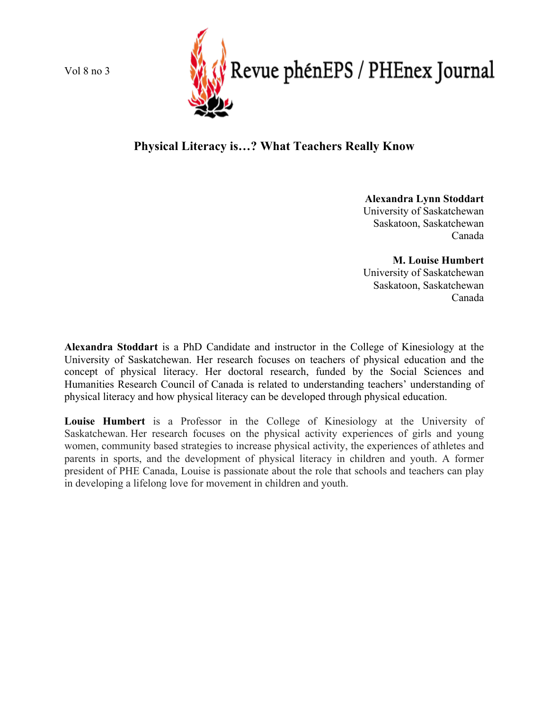Vol 8 no 3



# **Physical Literacy is…? What Teachers Really Know**

**Alexandra Lynn Stoddart** University of Saskatchewan Saskatoon, Saskatchewan Canada

**M. Louise Humbert** University of Saskatchewan Saskatoon, Saskatchewan Canada

**Alexandra Stoddart** is a PhD Candidate and instructor in the College of Kinesiology at the University of Saskatchewan. Her research focuses on teachers of physical education and the concept of physical literacy. Her doctoral research, funded by the Social Sciences and Humanities Research Council of Canada is related to understanding teachers' understanding of physical literacy and how physical literacy can be developed through physical education.

**Louise Humbert** is a Professor in the College of Kinesiology at the University of Saskatchewan. Her research focuses on the physical activity experiences of girls and young women, community based strategies to increase physical activity, the experiences of athletes and parents in sports, and the development of physical literacy in children and youth. A former president of PHE Canada, Louise is passionate about the role that schools and teachers can play in developing a lifelong love for movement in children and youth.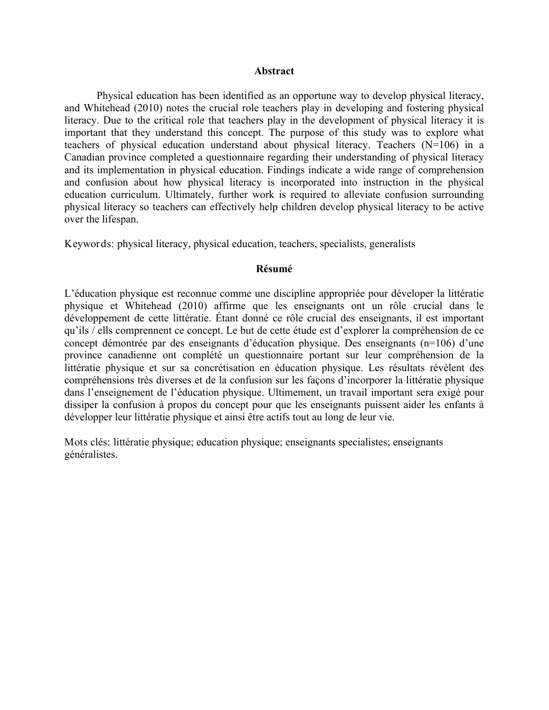# **Abstract**

Physical education has been identified as an opportune way to develop physical literacy, and Whitehead (2010) notes the crucial role teachers play in developing and fostering physical literacy. Due to the critical role that teachers play in the development of physical literacy it is important that they understand this concept. The purpose of this study was to explore what teachers of physical education understand about physical literacy. Teachers (N=106) in a Canadian province completed a questionnaire regarding their understanding of physical literacy and its implementation in physical education. Findings indicate a wide range of comprehension and confusion about how physical literacy is incorporated into instruction in the physical education curriculum. Ultimately, further work is required to alleviate confusion surrounding physical literacy so teachers can effectively help children develop physical literacy to be active over the lifespan.

Keywords: physical literacy, physical education, teachers, specialists, generalists

# **Résumé**

L'éducation physique est reconnue comme une discipline appropriée pour déveloper la littératie physique et Whitehead (2010) affirme que les enseignants ont un rôle crucial dans le développement de cette littératie. Étant donné ce rôle crucial des enseignants, il est important qu'ils / ells comprennent ce concept. Le but de cette étude est d'explorer la compréhension de ce concept démontrée par des enseignants d'éducation physique. Des enseignants (n=106) d'une province canadienne ont complété un questionnaire portant sur leur compréhension de la littératie physique et sur sa concrétisation en éducation physique. Les résultats révèlent des compréhensions très diverses et de la confusion sur les façons d'incorporer la littératie physique dans l'enseignement de l'éducation physique. Ultimement, un travail important sera exigé pour dissiper la confusion à propos du concept pour que les enseignants puissent aider les enfants à développer leur littératie physique et ainsi être actifs tout au long de leur vie.

Mots clés: littératie physique; education physique; enseignants specialistes; enseignants généralistes.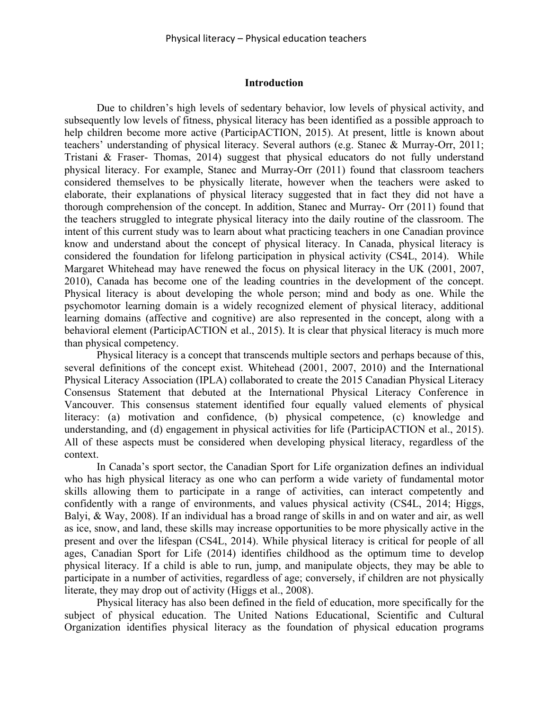# **Introduction**

Due to children's high levels of sedentary behavior, low levels of physical activity, and subsequently low levels of fitness, physical literacy has been identified as a possible approach to help children become more active (ParticipACTION, 2015). At present, little is known about teachers' understanding of physical literacy. Several authors (e.g. Stanec & Murray-Orr, 2011; Tristani & Fraser- Thomas, 2014) suggest that physical educators do not fully understand physical literacy. For example, Stanec and Murray-Orr (2011) found that classroom teachers considered themselves to be physically literate, however when the teachers were asked to elaborate, their explanations of physical literacy suggested that in fact they did not have a thorough comprehension of the concept. In addition, Stanec and Murray- Orr (2011) found that the teachers struggled to integrate physical literacy into the daily routine of the classroom. The intent of this current study was to learn about what practicing teachers in one Canadian province know and understand about the concept of physical literacy. In Canada, physical literacy is considered the foundation for lifelong participation in physical activity (CS4L, 2014). While Margaret Whitehead may have renewed the focus on physical literacy in the UK (2001, 2007, 2010), Canada has become one of the leading countries in the development of the concept. Physical literacy is about developing the whole person; mind and body as one. While the psychomotor learning domain is a widely recognized element of physical literacy, additional learning domains (affective and cognitive) are also represented in the concept, along with a behavioral element (ParticipACTION et al., 2015). It is clear that physical literacy is much more than physical competency.

Physical literacy is a concept that transcends multiple sectors and perhaps because of this, several definitions of the concept exist. Whitehead (2001, 2007, 2010) and the International Physical Literacy Association (IPLA) collaborated to create the 2015 Canadian Physical Literacy Consensus Statement that debuted at the International Physical Literacy Conference in Vancouver. This consensus statement identified four equally valued elements of physical literacy: (a) motivation and confidence, (b) physical competence, (c) knowledge and understanding, and (d) engagement in physical activities for life (ParticipACTION et al., 2015). All of these aspects must be considered when developing physical literacy, regardless of the context.

In Canada's sport sector, the Canadian Sport for Life organization defines an individual who has high physical literacy as one who can perform a wide variety of fundamental motor skills allowing them to participate in a range of activities, can interact competently and confidently with a range of environments, and values physical activity (CS4L, 2014; Higgs, Balyi, & Way, 2008). If an individual has a broad range of skills in and on water and air, as well as ice, snow, and land, these skills may increase opportunities to be more physically active in the present and over the lifespan (CS4L, 2014). While physical literacy is critical for people of all ages, Canadian Sport for Life (2014) identifies childhood as the optimum time to develop physical literacy. If a child is able to run, jump, and manipulate objects, they may be able to participate in a number of activities, regardless of age; conversely, if children are not physically literate, they may drop out of activity (Higgs et al., 2008).

Physical literacy has also been defined in the field of education, more specifically for the subject of physical education. The United Nations Educational, Scientific and Cultural Organization identifies physical literacy as the foundation of physical education programs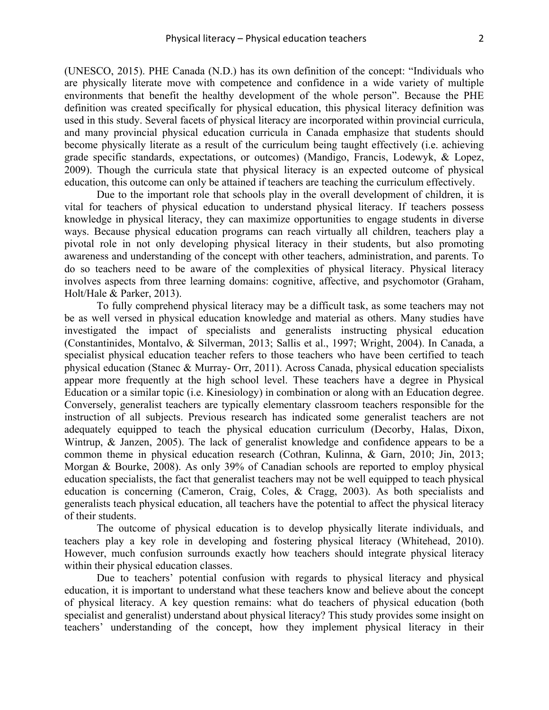(UNESCO, 2015). PHE Canada (N.D.) has its own definition of the concept: "Individuals who are physically literate move with competence and confidence in a wide variety of multiple environments that benefit the healthy development of the whole person". Because the PHE definition was created specifically for physical education, this physical literacy definition was used in this study. Several facets of physical literacy are incorporated within provincial curricula, and many provincial physical education curricula in Canada emphasize that students should become physically literate as a result of the curriculum being taught effectively (i.e. achieving grade specific standards, expectations, or outcomes) (Mandigo, Francis, Lodewyk, & Lopez, 2009). Though the curricula state that physical literacy is an expected outcome of physical education, this outcome can only be attained if teachers are teaching the curriculum effectively.

Due to the important role that schools play in the overall development of children, it is vital for teachers of physical education to understand physical literacy. If teachers possess knowledge in physical literacy, they can maximize opportunities to engage students in diverse ways. Because physical education programs can reach virtually all children, teachers play a pivotal role in not only developing physical literacy in their students, but also promoting awareness and understanding of the concept with other teachers, administration, and parents. To do so teachers need to be aware of the complexities of physical literacy. Physical literacy involves aspects from three learning domains: cognitive, affective, and psychomotor (Graham, Holt/Hale & Parker, 2013).

To fully comprehend physical literacy may be a difficult task, as some teachers may not be as well versed in physical education knowledge and material as others. Many studies have investigated the impact of specialists and generalists instructing physical education (Constantinides, Montalvo, & Silverman, 2013; Sallis et al., 1997; Wright, 2004). In Canada, a specialist physical education teacher refers to those teachers who have been certified to teach physical education (Stanec & Murray- Orr, 2011). Across Canada, physical education specialists appear more frequently at the high school level. These teachers have a degree in Physical Education or a similar topic (i.e. Kinesiology) in combination or along with an Education degree. Conversely, generalist teachers are typically elementary classroom teachers responsible for the instruction of all subjects. Previous research has indicated some generalist teachers are not adequately equipped to teach the physical education curriculum (Decorby, Halas, Dixon, Wintrup, & Janzen, 2005). The lack of generalist knowledge and confidence appears to be a common theme in physical education research (Cothran, Kulinna, & Garn, 2010; Jin, 2013; Morgan & Bourke, 2008). As only 39% of Canadian schools are reported to employ physical education specialists, the fact that generalist teachers may not be well equipped to teach physical education is concerning (Cameron, Craig, Coles, & Cragg, 2003). As both specialists and generalists teach physical education, all teachers have the potential to affect the physical literacy of their students.

The outcome of physical education is to develop physically literate individuals, and teachers play a key role in developing and fostering physical literacy (Whitehead, 2010). However, much confusion surrounds exactly how teachers should integrate physical literacy within their physical education classes.

Due to teachers' potential confusion with regards to physical literacy and physical education, it is important to understand what these teachers know and believe about the concept of physical literacy. A key question remains: what do teachers of physical education (both specialist and generalist) understand about physical literacy? This study provides some insight on teachers' understanding of the concept, how they implement physical literacy in their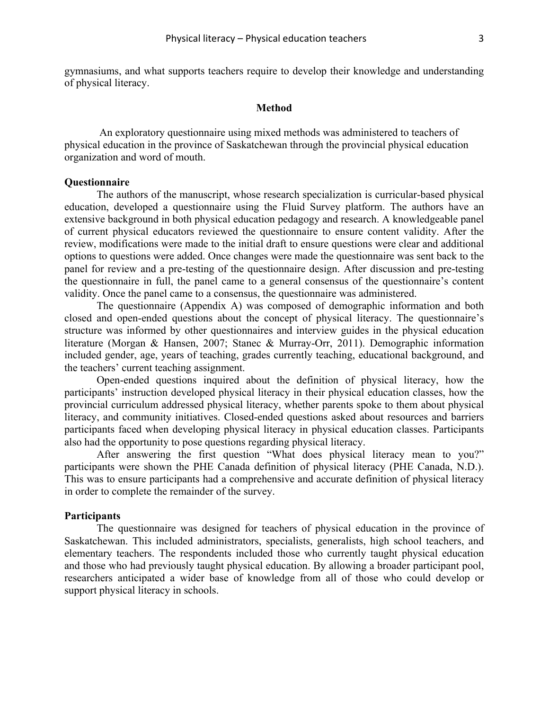gymnasiums, and what supports teachers require to develop their knowledge and understanding of physical literacy.

### **Method**

An exploratory questionnaire using mixed methods was administered to teachers of physical education in the province of Saskatchewan through the provincial physical education organization and word of mouth.

# **Questionnaire**

The authors of the manuscript, whose research specialization is curricular-based physical education, developed a questionnaire using the Fluid Survey platform. The authors have an extensive background in both physical education pedagogy and research. A knowledgeable panel of current physical educators reviewed the questionnaire to ensure content validity. After the review, modifications were made to the initial draft to ensure questions were clear and additional options to questions were added. Once changes were made the questionnaire was sent back to the panel for review and a pre-testing of the questionnaire design. After discussion and pre-testing the questionnaire in full, the panel came to a general consensus of the questionnaire's content validity. Once the panel came to a consensus, the questionnaire was administered.

The questionnaire (Appendix A) was composed of demographic information and both closed and open-ended questions about the concept of physical literacy. The questionnaire's structure was informed by other questionnaires and interview guides in the physical education literature (Morgan & Hansen, 2007; Stanec & Murray-Orr, 2011). Demographic information included gender, age, years of teaching, grades currently teaching, educational background, and the teachers' current teaching assignment.

Open-ended questions inquired about the definition of physical literacy, how the participants' instruction developed physical literacy in their physical education classes, how the provincial curriculum addressed physical literacy, whether parents spoke to them about physical literacy, and community initiatives. Closed-ended questions asked about resources and barriers participants faced when developing physical literacy in physical education classes. Participants also had the opportunity to pose questions regarding physical literacy.

After answering the first question "What does physical literacy mean to you?" participants were shown the PHE Canada definition of physical literacy (PHE Canada, N.D.). This was to ensure participants had a comprehensive and accurate definition of physical literacy in order to complete the remainder of the survey.

# **Participants**

The questionnaire was designed for teachers of physical education in the province of Saskatchewan. This included administrators, specialists, generalists, high school teachers, and elementary teachers. The respondents included those who currently taught physical education and those who had previously taught physical education. By allowing a broader participant pool, researchers anticipated a wider base of knowledge from all of those who could develop or support physical literacy in schools.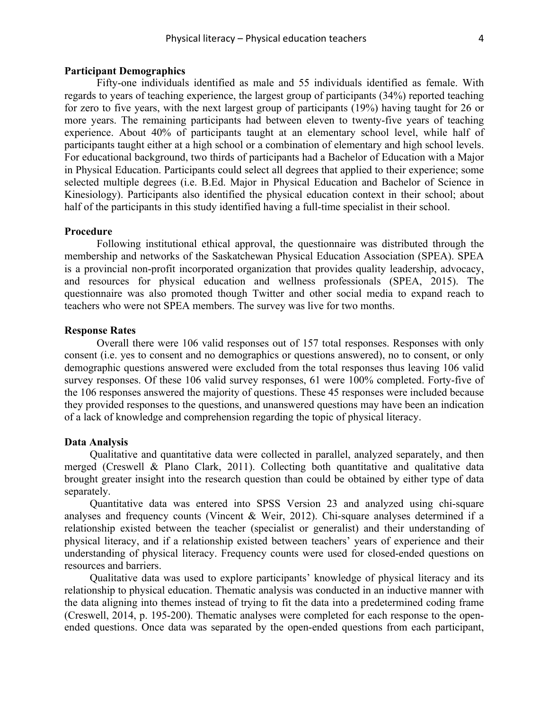# **Participant Demographics**

Fifty-one individuals identified as male and 55 individuals identified as female. With regards to years of teaching experience, the largest group of participants (34%) reported teaching for zero to five years, with the next largest group of participants (19%) having taught for 26 or more years. The remaining participants had between eleven to twenty-five years of teaching experience. About 40% of participants taught at an elementary school level, while half of participants taught either at a high school or a combination of elementary and high school levels. For educational background, two thirds of participants had a Bachelor of Education with a Major in Physical Education. Participants could select all degrees that applied to their experience; some selected multiple degrees (i.e. B.Ed. Major in Physical Education and Bachelor of Science in Kinesiology). Participants also identified the physical education context in their school; about half of the participants in this study identified having a full-time specialist in their school.

### **Procedure**

Following institutional ethical approval, the questionnaire was distributed through the membership and networks of the Saskatchewan Physical Education Association (SPEA). SPEA is a provincial non-profit incorporated organization that provides quality leadership, advocacy, and resources for physical education and wellness professionals (SPEA, 2015). The questionnaire was also promoted though Twitter and other social media to expand reach to teachers who were not SPEA members. The survey was live for two months.

# **Response Rates**

Overall there were 106 valid responses out of 157 total responses. Responses with only consent (i.e. yes to consent and no demographics or questions answered), no to consent, or only demographic questions answered were excluded from the total responses thus leaving 106 valid survey responses. Of these 106 valid survey responses, 61 were 100% completed. Forty-five of the 106 responses answered the majority of questions. These 45 responses were included because they provided responses to the questions, and unanswered questions may have been an indication of a lack of knowledge and comprehension regarding the topic of physical literacy.

#### **Data Analysis**

Qualitative and quantitative data were collected in parallel, analyzed separately, and then merged (Creswell & Plano Clark, 2011). Collecting both quantitative and qualitative data brought greater insight into the research question than could be obtained by either type of data separately.

Quantitative data was entered into SPSS Version 23 and analyzed using chi-square analyses and frequency counts (Vincent & Weir, 2012). Chi-square analyses determined if a relationship existed between the teacher (specialist or generalist) and their understanding of physical literacy, and if a relationship existed between teachers' years of experience and their understanding of physical literacy. Frequency counts were used for closed-ended questions on resources and barriers.

Qualitative data was used to explore participants' knowledge of physical literacy and its relationship to physical education. Thematic analysis was conducted in an inductive manner with the data aligning into themes instead of trying to fit the data into a predetermined coding frame (Creswell, 2014, p. 195-200). Thematic analyses were completed for each response to the openended questions. Once data was separated by the open-ended questions from each participant,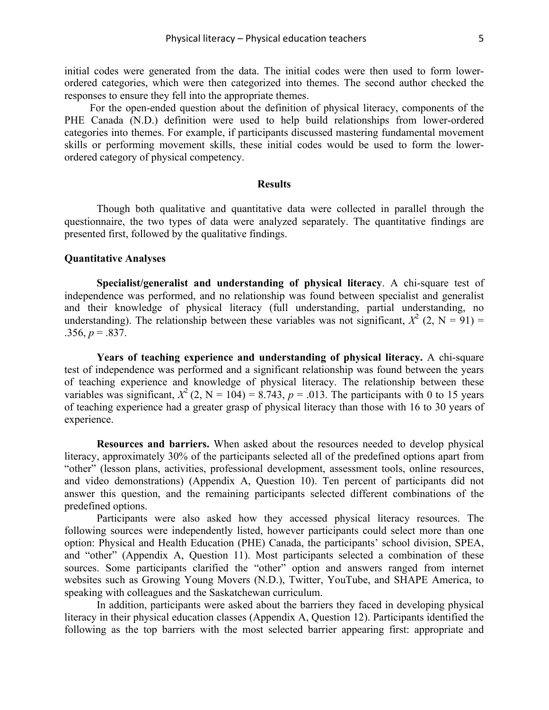initial codes were generated from the data. The initial codes were then used to form lowerordered categories, which were then categorized into themes. The second author checked the responses to ensure they fell into the appropriate themes.

For the open-ended question about the definition of physical literacy, components of the PHE Canada (N.D.) definition were used to help build relationships from lower-ordered categories into themes. For example, if participants discussed mastering fundamental movement skills or performing movement skills, these initial codes would be used to form the lowerordered category of physical competency.

# **Results**

Though both qualitative and quantitative data were collected in parallel through the questionnaire, the two types of data were analyzed separately. The quantitative findings are presented first, followed by the qualitative findings.

# **Quantitative Analyses**

**Specialist/generalist and understanding of physical literacy**. A chi-square test of independence was performed, and no relationship was found between specialist and generalist and their knowledge of physical literacy (full understanding, partial understanding, no understanding). The relationship between these variables was not significant,  $X^2$  (2, N = 91) =  $.356, p = .837.$ 

**Years of teaching experience and understanding of physical literacy.** A chi-square test of independence was performed and a significant relationship was found between the years of teaching experience and knowledge of physical literacy. The relationship between these variables was significant,  $X^2$  (2, N = 104) = 8.743, p = .013. The participants with 0 to 15 years of teaching experience had a greater grasp of physical literacy than those with 16 to 30 years of experience.

**Resources and barriers.** When asked about the resources needed to develop physical literacy, approximately 30% of the participants selected all of the predefined options apart from "other" (lesson plans, activities, professional development, assessment tools, online resources, and video demonstrations) (Appendix A, Question 10). Ten percent of participants did not answer this question, and the remaining participants selected different combinations of the predefined options.

Participants were also asked how they accessed physical literacy resources. The following sources were independently listed, however participants could select more than one option: Physical and Health Education (PHE) Canada, the participants' school division, SPEA, and "other" (Appendix A, Question 11). Most participants selected a combination of these sources. Some participants clarified the "other" option and answers ranged from internet websites such as Growing Young Movers (N.D.), Twitter, YouTube, and SHAPE America, to speaking with colleagues and the Saskatchewan curriculum.

In addition, participants were asked about the barriers they faced in developing physical literacy in their physical education classes (Appendix A, Question 12). Participants identified the following as the top barriers with the most selected barrier appearing first: appropriate and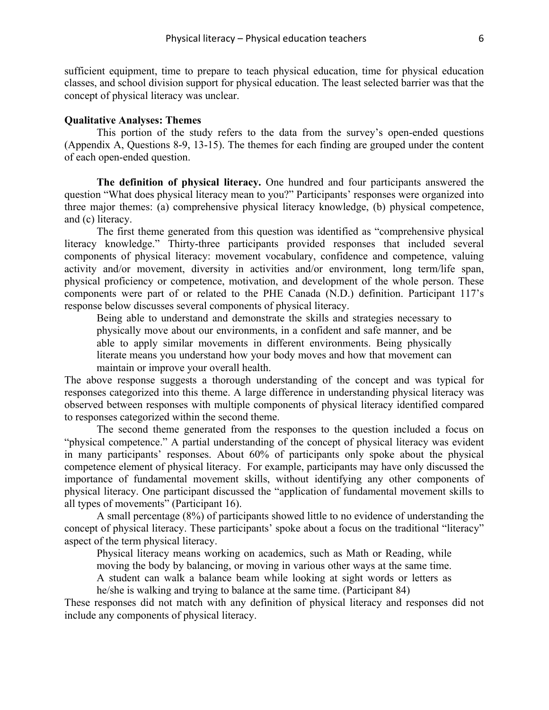sufficient equipment, time to prepare to teach physical education, time for physical education classes, and school division support for physical education. The least selected barrier was that the concept of physical literacy was unclear.

# **Qualitative Analyses: Themes**

This portion of the study refers to the data from the survey's open-ended questions (Appendix A, Questions 8-9, 13-15). The themes for each finding are grouped under the content of each open-ended question.

**The definition of physical literacy.** One hundred and four participants answered the question "What does physical literacy mean to you?" Participants' responses were organized into three major themes: (a) comprehensive physical literacy knowledge, (b) physical competence, and (c) literacy.

The first theme generated from this question was identified as "comprehensive physical literacy knowledge." Thirty-three participants provided responses that included several components of physical literacy: movement vocabulary, confidence and competence, valuing activity and/or movement, diversity in activities and/or environment, long term/life span, physical proficiency or competence, motivation, and development of the whole person. These components were part of or related to the PHE Canada (N.D.) definition. Participant 117's response below discusses several components of physical literacy.

Being able to understand and demonstrate the skills and strategies necessary to physically move about our environments, in a confident and safe manner, and be able to apply similar movements in different environments. Being physically literate means you understand how your body moves and how that movement can maintain or improve your overall health.

The above response suggests a thorough understanding of the concept and was typical for responses categorized into this theme. A large difference in understanding physical literacy was observed between responses with multiple components of physical literacy identified compared to responses categorized within the second theme.

The second theme generated from the responses to the question included a focus on "physical competence." A partial understanding of the concept of physical literacy was evident in many participants' responses. About 60% of participants only spoke about the physical competence element of physical literacy. For example, participants may have only discussed the importance of fundamental movement skills, without identifying any other components of physical literacy. One participant discussed the "application of fundamental movement skills to all types of movements" (Participant 16).

A small percentage (8%) of participants showed little to no evidence of understanding the concept of physical literacy. These participants' spoke about a focus on the traditional "literacy" aspect of the term physical literacy.

Physical literacy means working on academics, such as Math or Reading, while moving the body by balancing, or moving in various other ways at the same time.

A student can walk a balance beam while looking at sight words or letters as he/she is walking and trying to balance at the same time. (Participant 84)

These responses did not match with any definition of physical literacy and responses did not include any components of physical literacy.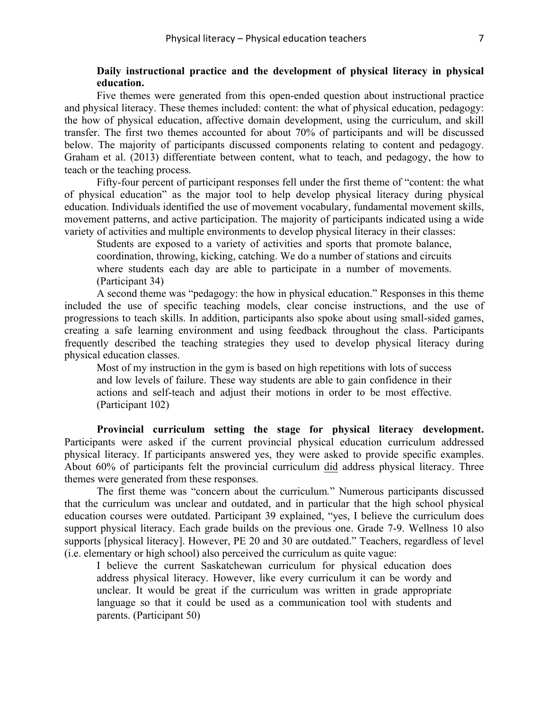# **Daily instructional practice and the development of physical literacy in physical education.**

Five themes were generated from this open-ended question about instructional practice and physical literacy. These themes included: content: the what of physical education, pedagogy: the how of physical education, affective domain development, using the curriculum, and skill transfer. The first two themes accounted for about 70% of participants and will be discussed below. The majority of participants discussed components relating to content and pedagogy. Graham et al. (2013) differentiate between content, what to teach, and pedagogy, the how to teach or the teaching process.

Fifty-four percent of participant responses fell under the first theme of "content: the what of physical education" as the major tool to help develop physical literacy during physical education. Individuals identified the use of movement vocabulary, fundamental movement skills, movement patterns, and active participation. The majority of participants indicated using a wide variety of activities and multiple environments to develop physical literacy in their classes:

Students are exposed to a variety of activities and sports that promote balance, coordination, throwing, kicking, catching. We do a number of stations and circuits where students each day are able to participate in a number of movements. (Participant 34)

A second theme was "pedagogy: the how in physical education." Responses in this theme included the use of specific teaching models, clear concise instructions, and the use of progressions to teach skills. In addition, participants also spoke about using small-sided games, creating a safe learning environment and using feedback throughout the class. Participants frequently described the teaching strategies they used to develop physical literacy during physical education classes.

Most of my instruction in the gym is based on high repetitions with lots of success and low levels of failure. These way students are able to gain confidence in their actions and self-teach and adjust their motions in order to be most effective. (Participant 102)

**Provincial curriculum setting the stage for physical literacy development.**  Participants were asked if the current provincial physical education curriculum addressed physical literacy. If participants answered yes, they were asked to provide specific examples. About 60% of participants felt the provincial curriculum did address physical literacy. Three themes were generated from these responses.

The first theme was "concern about the curriculum*.*" Numerous participants discussed that the curriculum was unclear and outdated, and in particular that the high school physical education courses were outdated. Participant 39 explained, "yes, I believe the curriculum does support physical literacy. Each grade builds on the previous one. Grade 7-9. Wellness 10 also supports [physical literacy]. However, PE 20 and 30 are outdated." Teachers, regardless of level (i.e. elementary or high school) also perceived the curriculum as quite vague:

I believe the current Saskatchewan curriculum for physical education does address physical literacy. However, like every curriculum it can be wordy and unclear. It would be great if the curriculum was written in grade appropriate language so that it could be used as a communication tool with students and parents. (Participant 50)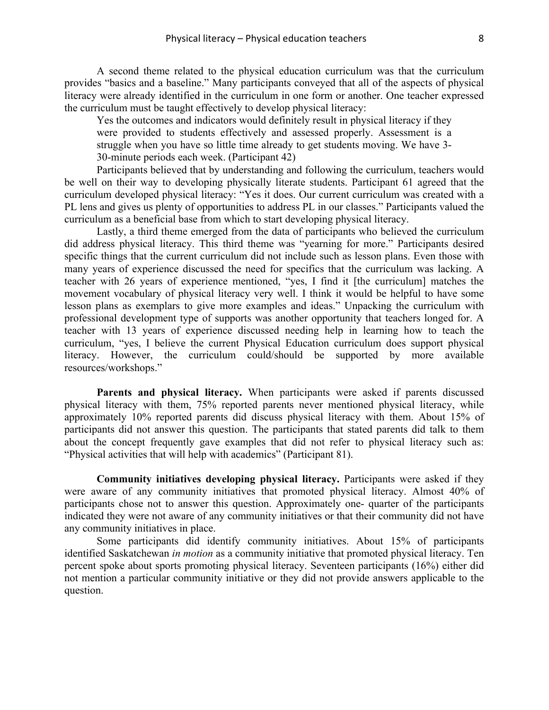A second theme related to the physical education curriculum was that the curriculum provides "basics and a baseline." Many participants conveyed that all of the aspects of physical literacy were already identified in the curriculum in one form or another. One teacher expressed the curriculum must be taught effectively to develop physical literacy:

Yes the outcomes and indicators would definitely result in physical literacy if they were provided to students effectively and assessed properly. Assessment is a struggle when you have so little time already to get students moving. We have 3- 30-minute periods each week. (Participant 42)

Participants believed that by understanding and following the curriculum, teachers would be well on their way to developing physically literate students. Participant 61 agreed that the curriculum developed physical literacy: "Yes it does. Our current curriculum was created with a PL lens and gives us plenty of opportunities to address PL in our classes." Participants valued the curriculum as a beneficial base from which to start developing physical literacy.

Lastly, a third theme emerged from the data of participants who believed the curriculum did address physical literacy. This third theme was "yearning for more." Participants desired specific things that the current curriculum did not include such as lesson plans. Even those with many years of experience discussed the need for specifics that the curriculum was lacking. A teacher with 26 years of experience mentioned, "yes, I find it [the curriculum] matches the movement vocabulary of physical literacy very well. I think it would be helpful to have some lesson plans as exemplars to give more examples and ideas." Unpacking the curriculum with professional development type of supports was another opportunity that teachers longed for. A teacher with 13 years of experience discussed needing help in learning how to teach the curriculum, "yes, I believe the current Physical Education curriculum does support physical literacy. However, the curriculum could/should be supported by more available resources/workshops."

**Parents and physical literacy.** When participants were asked if parents discussed physical literacy with them, 75% reported parents never mentioned physical literacy, while approximately 10% reported parents did discuss physical literacy with them. About 15% of participants did not answer this question. The participants that stated parents did talk to them about the concept frequently gave examples that did not refer to physical literacy such as: "Physical activities that will help with academics" (Participant 81).

**Community initiatives developing physical literacy.** Participants were asked if they were aware of any community initiatives that promoted physical literacy. Almost 40% of participants chose not to answer this question. Approximately one- quarter of the participants indicated they were not aware of any community initiatives or that their community did not have any community initiatives in place.

Some participants did identify community initiatives. About 15% of participants identified Saskatchewan *in motion* as a community initiative that promoted physical literacy. Ten percent spoke about sports promoting physical literacy. Seventeen participants (16%) either did not mention a particular community initiative or they did not provide answers applicable to the question.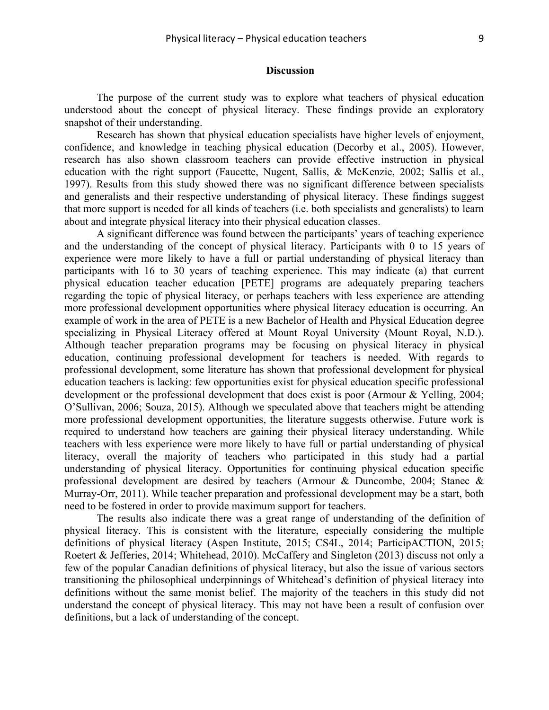# **Discussion**

The purpose of the current study was to explore what teachers of physical education understood about the concept of physical literacy. These findings provide an exploratory snapshot of their understanding.

Research has shown that physical education specialists have higher levels of enjoyment, confidence, and knowledge in teaching physical education (Decorby et al., 2005). However, research has also shown classroom teachers can provide effective instruction in physical education with the right support (Faucette, Nugent, Sallis, & McKenzie, 2002; Sallis et al., 1997). Results from this study showed there was no significant difference between specialists and generalists and their respective understanding of physical literacy. These findings suggest that more support is needed for all kinds of teachers (i.e. both specialists and generalists) to learn about and integrate physical literacy into their physical education classes.

A significant difference was found between the participants' years of teaching experience and the understanding of the concept of physical literacy. Participants with 0 to 15 years of experience were more likely to have a full or partial understanding of physical literacy than participants with 16 to 30 years of teaching experience. This may indicate (a) that current physical education teacher education [PETE] programs are adequately preparing teachers regarding the topic of physical literacy, or perhaps teachers with less experience are attending more professional development opportunities where physical literacy education is occurring. An example of work in the area of PETE is a new Bachelor of Health and Physical Education degree specializing in Physical Literacy offered at Mount Royal University (Mount Royal, N.D.). Although teacher preparation programs may be focusing on physical literacy in physical education, continuing professional development for teachers is needed. With regards to professional development, some literature has shown that professional development for physical education teachers is lacking: few opportunities exist for physical education specific professional development or the professional development that does exist is poor (Armour & Yelling, 2004; O'Sullivan, 2006; Souza, 2015). Although we speculated above that teachers might be attending more professional development opportunities, the literature suggests otherwise. Future work is required to understand how teachers are gaining their physical literacy understanding. While teachers with less experience were more likely to have full or partial understanding of physical literacy, overall the majority of teachers who participated in this study had a partial understanding of physical literacy. Opportunities for continuing physical education specific professional development are desired by teachers (Armour & Duncombe, 2004; Stanec & Murray-Orr, 2011). While teacher preparation and professional development may be a start, both need to be fostered in order to provide maximum support for teachers.

The results also indicate there was a great range of understanding of the definition of physical literacy. This is consistent with the literature, especially considering the multiple definitions of physical literacy (Aspen Institute, 2015; CS4L, 2014; ParticipACTION, 2015; Roetert & Jefferies, 2014; Whitehead, 2010). McCaffery and Singleton (2013) discuss not only a few of the popular Canadian definitions of physical literacy, but also the issue of various sectors transitioning the philosophical underpinnings of Whitehead's definition of physical literacy into definitions without the same monist belief. The majority of the teachers in this study did not understand the concept of physical literacy. This may not have been a result of confusion over definitions, but a lack of understanding of the concept.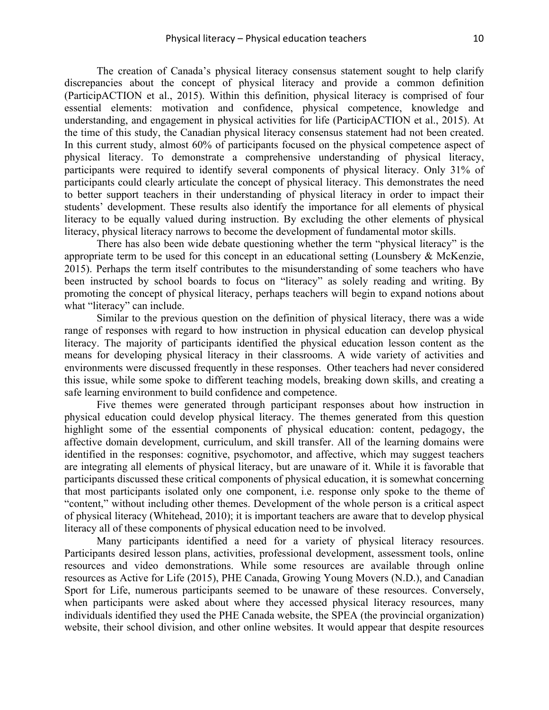The creation of Canada's physical literacy consensus statement sought to help clarify discrepancies about the concept of physical literacy and provide a common definition (ParticipACTION et al., 2015). Within this definition, physical literacy is comprised of four essential elements: motivation and confidence, physical competence, knowledge and understanding, and engagement in physical activities for life (ParticipACTION et al., 2015). At the time of this study, the Canadian physical literacy consensus statement had not been created. In this current study, almost 60% of participants focused on the physical competence aspect of physical literacy. To demonstrate a comprehensive understanding of physical literacy, participants were required to identify several components of physical literacy. Only 31% of participants could clearly articulate the concept of physical literacy. This demonstrates the need to better support teachers in their understanding of physical literacy in order to impact their students' development. These results also identify the importance for all elements of physical literacy to be equally valued during instruction. By excluding the other elements of physical literacy, physical literacy narrows to become the development of fundamental motor skills.

There has also been wide debate questioning whether the term "physical literacy" is the appropriate term to be used for this concept in an educational setting (Lounsbery & McKenzie, 2015). Perhaps the term itself contributes to the misunderstanding of some teachers who have been instructed by school boards to focus on "literacy" as solely reading and writing. By promoting the concept of physical literacy, perhaps teachers will begin to expand notions about what "literacy" can include.

Similar to the previous question on the definition of physical literacy, there was a wide range of responses with regard to how instruction in physical education can develop physical literacy. The majority of participants identified the physical education lesson content as the means for developing physical literacy in their classrooms. A wide variety of activities and environments were discussed frequently in these responses. Other teachers had never considered this issue, while some spoke to different teaching models, breaking down skills, and creating a safe learning environment to build confidence and competence.

Five themes were generated through participant responses about how instruction in physical education could develop physical literacy. The themes generated from this question highlight some of the essential components of physical education: content, pedagogy, the affective domain development, curriculum, and skill transfer. All of the learning domains were identified in the responses: cognitive, psychomotor, and affective, which may suggest teachers are integrating all elements of physical literacy, but are unaware of it. While it is favorable that participants discussed these critical components of physical education, it is somewhat concerning that most participants isolated only one component, i.e. response only spoke to the theme of "content," without including other themes. Development of the whole person is a critical aspect of physical literacy (Whitehead, 2010); it is important teachers are aware that to develop physical literacy all of these components of physical education need to be involved.

Many participants identified a need for a variety of physical literacy resources. Participants desired lesson plans, activities, professional development, assessment tools, online resources and video demonstrations. While some resources are available through online resources as Active for Life (2015), PHE Canada, Growing Young Movers (N.D.), and Canadian Sport for Life, numerous participants seemed to be unaware of these resources. Conversely, when participants were asked about where they accessed physical literacy resources, many individuals identified they used the PHE Canada website, the SPEA (the provincial organization) website, their school division, and other online websites. It would appear that despite resources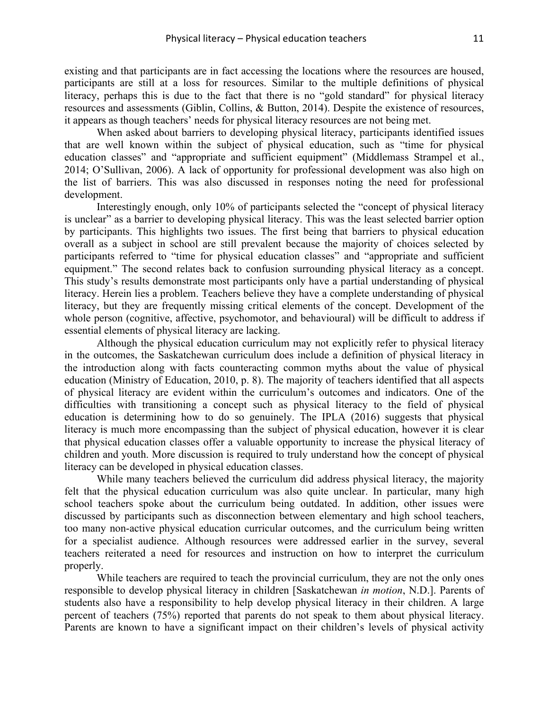existing and that participants are in fact accessing the locations where the resources are housed, participants are still at a loss for resources. Similar to the multiple definitions of physical literacy, perhaps this is due to the fact that there is no "gold standard" for physical literacy resources and assessments (Giblin, Collins, & Button, 2014). Despite the existence of resources, it appears as though teachers' needs for physical literacy resources are not being met.

When asked about barriers to developing physical literacy, participants identified issues that are well known within the subject of physical education, such as "time for physical education classes" and "appropriate and sufficient equipment" (Middlemass Strampel et al., 2014; O'Sullivan, 2006). A lack of opportunity for professional development was also high on the list of barriers. This was also discussed in responses noting the need for professional development.

Interestingly enough, only 10% of participants selected the "concept of physical literacy is unclear" as a barrier to developing physical literacy. This was the least selected barrier option by participants. This highlights two issues. The first being that barriers to physical education overall as a subject in school are still prevalent because the majority of choices selected by participants referred to "time for physical education classes" and "appropriate and sufficient equipment." The second relates back to confusion surrounding physical literacy as a concept. This study's results demonstrate most participants only have a partial understanding of physical literacy. Herein lies a problem. Teachers believe they have a complete understanding of physical literacy, but they are frequently missing critical elements of the concept. Development of the whole person (cognitive, affective, psychomotor, and behavioural) will be difficult to address if essential elements of physical literacy are lacking.

Although the physical education curriculum may not explicitly refer to physical literacy in the outcomes, the Saskatchewan curriculum does include a definition of physical literacy in the introduction along with facts counteracting common myths about the value of physical education (Ministry of Education, 2010, p. 8). The majority of teachers identified that all aspects of physical literacy are evident within the curriculum's outcomes and indicators. One of the difficulties with transitioning a concept such as physical literacy to the field of physical education is determining how to do so genuinely. The IPLA (2016) suggests that physical literacy is much more encompassing than the subject of physical education, however it is clear that physical education classes offer a valuable opportunity to increase the physical literacy of children and youth. More discussion is required to truly understand how the concept of physical literacy can be developed in physical education classes.

While many teachers believed the curriculum did address physical literacy, the majority felt that the physical education curriculum was also quite unclear. In particular, many high school teachers spoke about the curriculum being outdated. In addition, other issues were discussed by participants such as disconnection between elementary and high school teachers, too many non-active physical education curricular outcomes, and the curriculum being written for a specialist audience. Although resources were addressed earlier in the survey, several teachers reiterated a need for resources and instruction on how to interpret the curriculum properly.

While teachers are required to teach the provincial curriculum, they are not the only ones responsible to develop physical literacy in children [Saskatchewan *in motion*, N.D.]. Parents of students also have a responsibility to help develop physical literacy in their children. A large percent of teachers (75%) reported that parents do not speak to them about physical literacy. Parents are known to have a significant impact on their children's levels of physical activity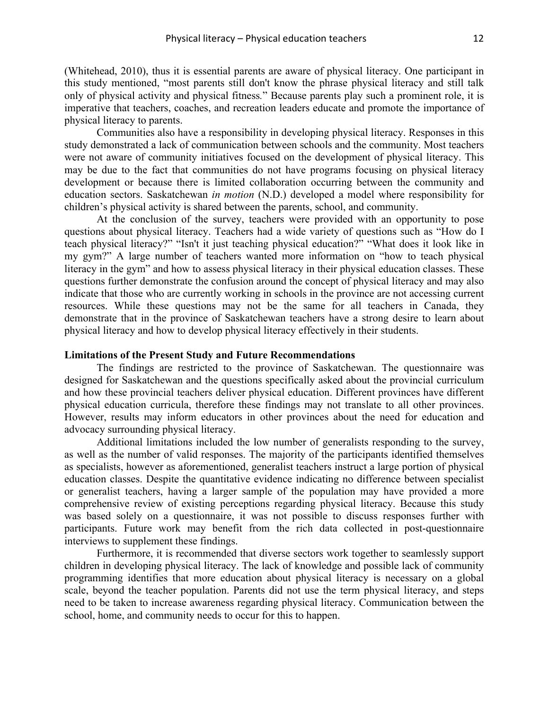(Whitehead, 2010), thus it is essential parents are aware of physical literacy. One participant in this study mentioned, "most parents still don't know the phrase physical literacy and still talk only of physical activity and physical fitness*.*" Because parents play such a prominent role, it is imperative that teachers, coaches, and recreation leaders educate and promote the importance of physical literacy to parents.

Communities also have a responsibility in developing physical literacy. Responses in this study demonstrated a lack of communication between schools and the community. Most teachers were not aware of community initiatives focused on the development of physical literacy. This may be due to the fact that communities do not have programs focusing on physical literacy development or because there is limited collaboration occurring between the community and education sectors. Saskatchewan *in motion* (N.D.) developed a model where responsibility for children's physical activity is shared between the parents, school, and community.

At the conclusion of the survey, teachers were provided with an opportunity to pose questions about physical literacy. Teachers had a wide variety of questions such as "How do I teach physical literacy?" "Isn't it just teaching physical education?" "What does it look like in my gym?" A large number of teachers wanted more information on "how to teach physical literacy in the gym" and how to assess physical literacy in their physical education classes. These questions further demonstrate the confusion around the concept of physical literacy and may also indicate that those who are currently working in schools in the province are not accessing current resources. While these questions may not be the same for all teachers in Canada, they demonstrate that in the province of Saskatchewan teachers have a strong desire to learn about physical literacy and how to develop physical literacy effectively in their students.

# **Limitations of the Present Study and Future Recommendations**

The findings are restricted to the province of Saskatchewan. The questionnaire was designed for Saskatchewan and the questions specifically asked about the provincial curriculum and how these provincial teachers deliver physical education. Different provinces have different physical education curricula, therefore these findings may not translate to all other provinces. However, results may inform educators in other provinces about the need for education and advocacy surrounding physical literacy.

Additional limitations included the low number of generalists responding to the survey, as well as the number of valid responses. The majority of the participants identified themselves as specialists, however as aforementioned, generalist teachers instruct a large portion of physical education classes. Despite the quantitative evidence indicating no difference between specialist or generalist teachers, having a larger sample of the population may have provided a more comprehensive review of existing perceptions regarding physical literacy. Because this study was based solely on a questionnaire, it was not possible to discuss responses further with participants. Future work may benefit from the rich data collected in post-questionnaire interviews to supplement these findings.

Furthermore, it is recommended that diverse sectors work together to seamlessly support children in developing physical literacy. The lack of knowledge and possible lack of community programming identifies that more education about physical literacy is necessary on a global scale, beyond the teacher population. Parents did not use the term physical literacy, and steps need to be taken to increase awareness regarding physical literacy. Communication between the school, home, and community needs to occur for this to happen.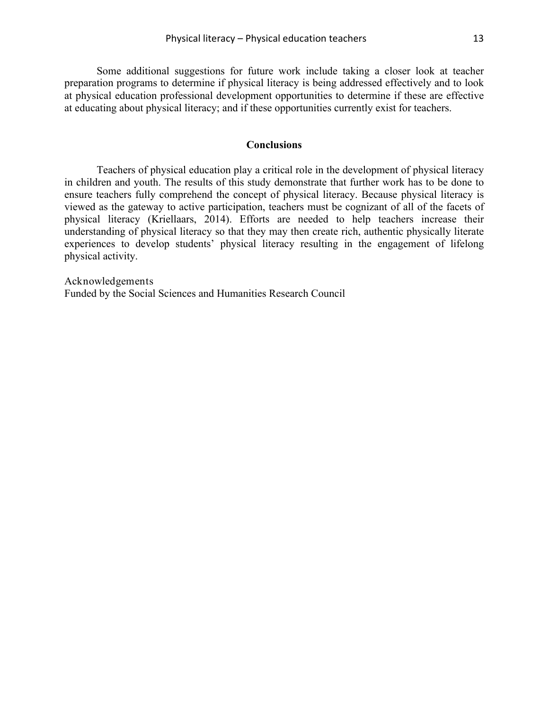Some additional suggestions for future work include taking a closer look at teacher preparation programs to determine if physical literacy is being addressed effectively and to look at physical education professional development opportunities to determine if these are effective at educating about physical literacy; and if these opportunities currently exist for teachers.

# **Conclusions**

Teachers of physical education play a critical role in the development of physical literacy in children and youth. The results of this study demonstrate that further work has to be done to ensure teachers fully comprehend the concept of physical literacy. Because physical literacy is viewed as the gateway to active participation, teachers must be cognizant of all of the facets of physical literacy (Kriellaars, 2014). Efforts are needed to help teachers increase their understanding of physical literacy so that they may then create rich, authentic physically literate experiences to develop students' physical literacy resulting in the engagement of lifelong physical activity.

Acknowledgements Funded by the Social Sciences and Humanities Research Council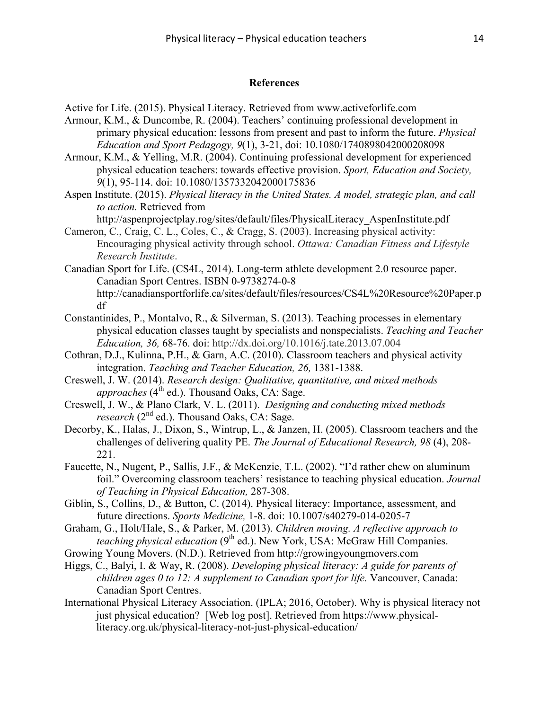# **References**

Active for Life. (2015). Physical Literacy. Retrieved from www.activeforlife.com

- Armour, K.M., & Duncombe, R. (2004). Teachers' continuing professional development in primary physical education: lessons from present and past to inform the future. *Physical Education and Sport Pedagogy, 9*(1), 3-21, doi: 10.1080/1740898042000208098
- Armour, K.M., & Yelling, M.R. (2004). Continuing professional development for experienced physical education teachers: towards effective provision. *Sport, Education and Society, 9*(1), 95-114. doi: 10.1080/1357332042000175836
- Aspen Institute. (2015). *Physical literacy in the United States. A model, strategic plan, and call to action.* Retrieved from

http://aspenprojectplay.rog/sites/default/files/PhysicalLiteracy\_AspenInstitute.pdf

- Cameron, C., Craig, C. L., Coles, C., & Cragg, S. (2003). Increasing physical activity: Encouraging physical activity through school. *Ottawa: Canadian Fitness and Lifestyle Research Institute*.
- Canadian Sport for Life. (CS4L, 2014). Long-term athlete development 2.0 resource paper. Canadian Sport Centres. ISBN 0-9738274-0-8 http://canadiansportforlife.ca/sites/default/files/resources/CS4L%20Resource%20Paper.p df
- Constantinides, P., Montalvo, R., & Silverman, S. (2013). Teaching processes in elementary physical education classes taught by specialists and nonspecialists. *Teaching and Teacher Education, 36,* 68-76. doi: http://dx.doi.org/10.1016/j.tate.2013.07.004
- Cothran, D.J., Kulinna, P.H., & Garn, A.C. (2010). Classroom teachers and physical activity integration. *Teaching and Teacher Education, 26,* 1381-1388.
- Creswell, J. W. (2014). *Research design: Qualitative, quantitative, and mixed methods approaches* ( $4<sup>th</sup>$  ed.). Thousand Oaks, CA: Sage.
- Creswell, J. W., & Plano Clark, V. L. (2011). *Designing and conducting mixed methods research* (2nd ed.). Thousand Oaks, CA: Sage.
- Decorby, K., Halas, J., Dixon, S., Wintrup, L., & Janzen, H. (2005). Classroom teachers and the challenges of delivering quality PE. *The Journal of Educational Research, 98* (4), 208- 221.
- Faucette, N., Nugent, P., Sallis, J.F., & McKenzie, T.L. (2002). "I'd rather chew on aluminum foil." Overcoming classroom teachers' resistance to teaching physical education. *Journal of Teaching in Physical Education,* 287-308.
- Giblin, S., Collins, D., & Button, C. (2014). Physical literacy: Importance, assessment, and future directions. *Sports Medicine,* 1-8. doi: 10.1007/s40279-014-0205-7
- Graham, G., Holt/Hale, S., & Parker, M. (2013). *Children moving. A reflective approach to teaching physical education* (9<sup>th</sup> ed.). New York, USA: McGraw Hill Companies.
- Growing Young Movers. (N.D.). Retrieved from http://growingyoungmovers.com
- Higgs, C., Balyi, I. & Way, R. (2008). *Developing physical literacy: A guide for parents of children ages 0 to 12: A supplement to Canadian sport for life.* Vancouver, Canada: Canadian Sport Centres.
- International Physical Literacy Association. (IPLA; 2016, October). Why is physical literacy not just physical education? [Web log post]. Retrieved from https://www.physicalliteracy.org.uk/physical-literacy-not-just-physical-education/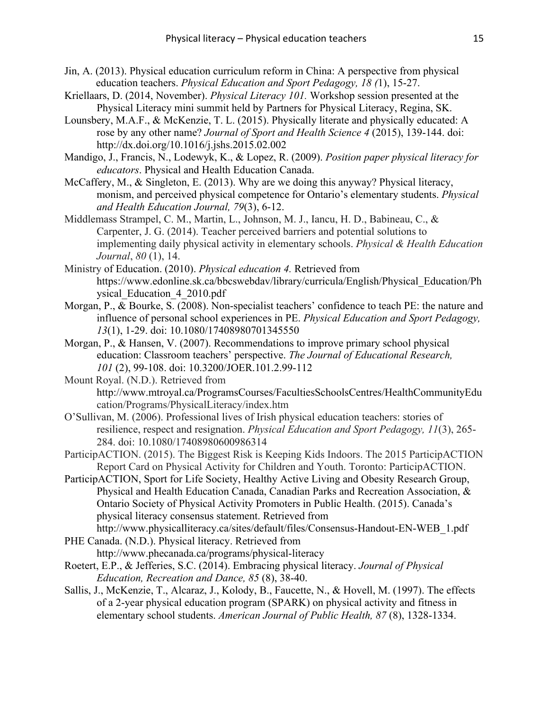- Jin, A. (2013). Physical education curriculum reform in China: A perspective from physical education teachers. *Physical Education and Sport Pedagogy, 18 (*1), 15-27.
- Kriellaars, D. (2014, November). *Physical Literacy 101.* Workshop session presented at the Physical Literacy mini summit held by Partners for Physical Literacy, Regina, SK.
- Lounsbery, M.A.F., & McKenzie, T. L. (2015). Physically literate and physically educated: A rose by any other name? *Journal of Sport and Health Science 4* (2015), 139-144. doi: http://dx.doi.org/10.1016/j.jshs.2015.02.002
- Mandigo, J., Francis, N., Lodewyk, K., & Lopez, R. (2009). *Position paper physical literacy for educators*. Physical and Health Education Canada.
- McCaffery, M., & Singleton, E. (2013). Why are we doing this anyway? Physical literacy, monism, and perceived physical competence for Ontario's elementary students. *Physical and Health Education Journal, 79*(3), 6-12.
- Middlemass Strampel, C. M., Martin, L., Johnson, M. J., Iancu, H. D., Babineau, C., & Carpenter, J. G. (2014). Teacher perceived barriers and potential solutions to implementing daily physical activity in elementary schools. *Physical & Health Education Journal*, *80* (1), 14.
- Ministry of Education. (2010). *Physical education 4.* Retrieved from https://www.edonline.sk.ca/bbcswebdav/library/curricula/English/Physical\_Education/Ph ysical\_Education\_4\_2010.pdf
- Morgan, P., & Bourke, S. (2008). Non-specialist teachers' confidence to teach PE: the nature and influence of personal school experiences in PE. *Physical Education and Sport Pedagogy, 13*(1), 1-29. doi: 10.1080/17408980701345550
- Morgan, P., & Hansen, V. (2007). Recommendations to improve primary school physical education: Classroom teachers' perspective. *The Journal of Educational Research, 101* (2), 99-108. doi: 10.3200/JOER.101.2.99-112
- Mount Royal. (N.D.). Retrieved from http://www.mtroyal.ca/ProgramsCourses/FacultiesSchoolsCentres/HealthCommunityEdu cation/Programs/PhysicalLiteracy/index.htm
- O'Sullivan, M. (2006). Professional lives of Irish physical education teachers: stories of resilience, respect and resignation. *Physical Education and Sport Pedagogy, 11*(3), 265- 284. doi: 10.1080/17408980600986314
- ParticipACTION. (2015). The Biggest Risk is Keeping Kids Indoors. The 2015 ParticipACTION Report Card on Physical Activity for Children and Youth. Toronto: ParticipACTION.
- ParticipACTION, Sport for Life Society, Healthy Active Living and Obesity Research Group, Physical and Health Education Canada, Canadian Parks and Recreation Association, & Ontario Society of Physical Activity Promoters in Public Health. (2015). Canada's physical literacy consensus statement. Retrieved from http://www.physicalliteracy.ca/sites/default/files/Consensus-Handout-EN-WEB\_1.pdf
- PHE Canada. (N.D.). Physical literacy. Retrieved from http://www.phecanada.ca/programs/physical-literacy
- Roetert, E.P., & Jefferies, S.C. (2014). Embracing physical literacy. *Journal of Physical Education, Recreation and Dance, 85* (8), 38-40.
- Sallis, J., McKenzie, T., Alcaraz, J., Kolody, B., Faucette, N., & Hovell, M. (1997). The effects of a 2-year physical education program (SPARK) on physical activity and fitness in elementary school students. *American Journal of Public Health, 87* (8), 1328-1334.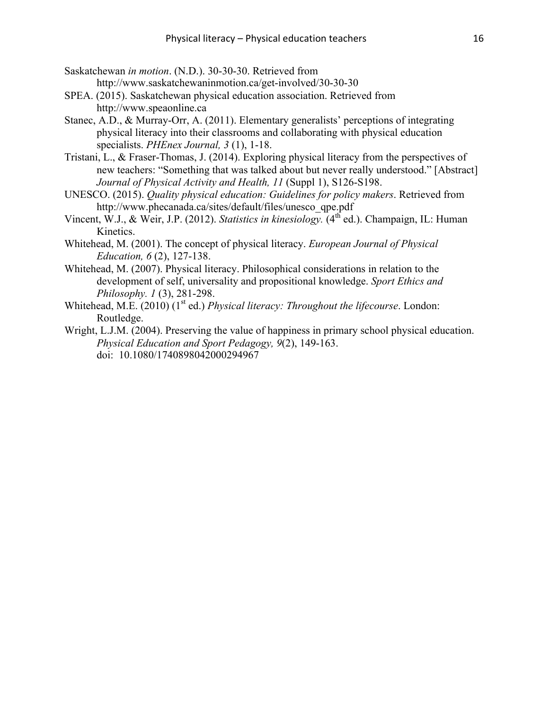- Saskatchewan *in motion*. (N.D.). 30-30-30. Retrieved from http://www.saskatchewaninmotion.ca/get-involved/30-30-30
- SPEA. (2015). Saskatchewan physical education association. Retrieved from http://www.speaonline.ca
- Stanec, A.D., & Murray-Orr, A. (2011). Elementary generalists' perceptions of integrating physical literacy into their classrooms and collaborating with physical education specialists. *PHEnex Journal, 3* (1), 1-18.
- Tristani, L., & Fraser-Thomas, J. (2014). Exploring physical literacy from the perspectives of new teachers: "Something that was talked about but never really understood." [Abstract] *Journal of Physical Activity and Health, 11* (Suppl 1), S126-S198.
- UNESCO. (2015). *Quality physical education: Guidelines for policy makers*. Retrieved from http://www.phecanada.ca/sites/default/files/unesco\_qpe.pdf
- Vincent, W.J., & Weir, J.P. (2012). *Statistics in kinesiology*. (4<sup>th</sup> ed.). Champaign, IL: Human Kinetics.
- Whitehead, M. (2001). The concept of physical literacy. *European Journal of Physical Education, 6* (2), 127-138.
- Whitehead, M. (2007). Physical literacy. Philosophical considerations in relation to the development of self, universality and propositional knowledge. *Sport Ethics and Philosophy. 1* (3), 281-298.
- Whitehead, M.E. (2010) (1<sup>st</sup> ed.) *Physical literacy: Throughout the lifecourse*. London: Routledge.
- Wright, L.J.M. (2004). Preserving the value of happiness in primary school physical education. *Physical Education and Sport Pedagogy, 9*(2), 149-163. doi: 10.1080/1740898042000294967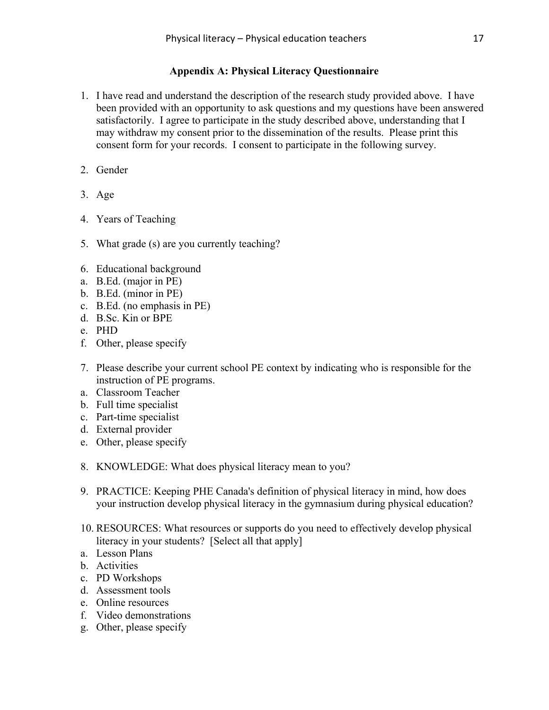# **Appendix A: Physical Literacy Questionnaire**

- 1. I have read and understand the description of the research study provided above. I have been provided with an opportunity to ask questions and my questions have been answered satisfactorily. I agree to participate in the study described above, understanding that I may withdraw my consent prior to the dissemination of the results. Please print this consent form for your records. I consent to participate in the following survey.
- 2. Gender
- 3. Age
- 4. Years of Teaching
- 5. What grade (s) are you currently teaching?
- 6. Educational background
- a. B.Ed. (major in PE)
- b. B.Ed. (minor in PE)
- c. B.Ed. (no emphasis in PE)
- d. B.Sc. Kin or BPE
- e. PHD
- f. Other, please specify
- 7. Please describe your current school PE context by indicating who is responsible for the instruction of PE programs.
- a. Classroom Teacher
- b. Full time specialist
- c. Part-time specialist
- d. External provider
- e. Other, please specify
- 8. KNOWLEDGE: What does physical literacy mean to you?
- 9. PRACTICE: Keeping PHE Canada's definition of physical literacy in mind, how does your instruction develop physical literacy in the gymnasium during physical education?
- 10. RESOURCES: What resources or supports do you need to effectively develop physical literacy in your students? [Select all that apply]
- a. Lesson Plans
- b. Activities
- c. PD Workshops
- d. Assessment tools
- e. Online resources
- f. Video demonstrations
- g. Other, please specify